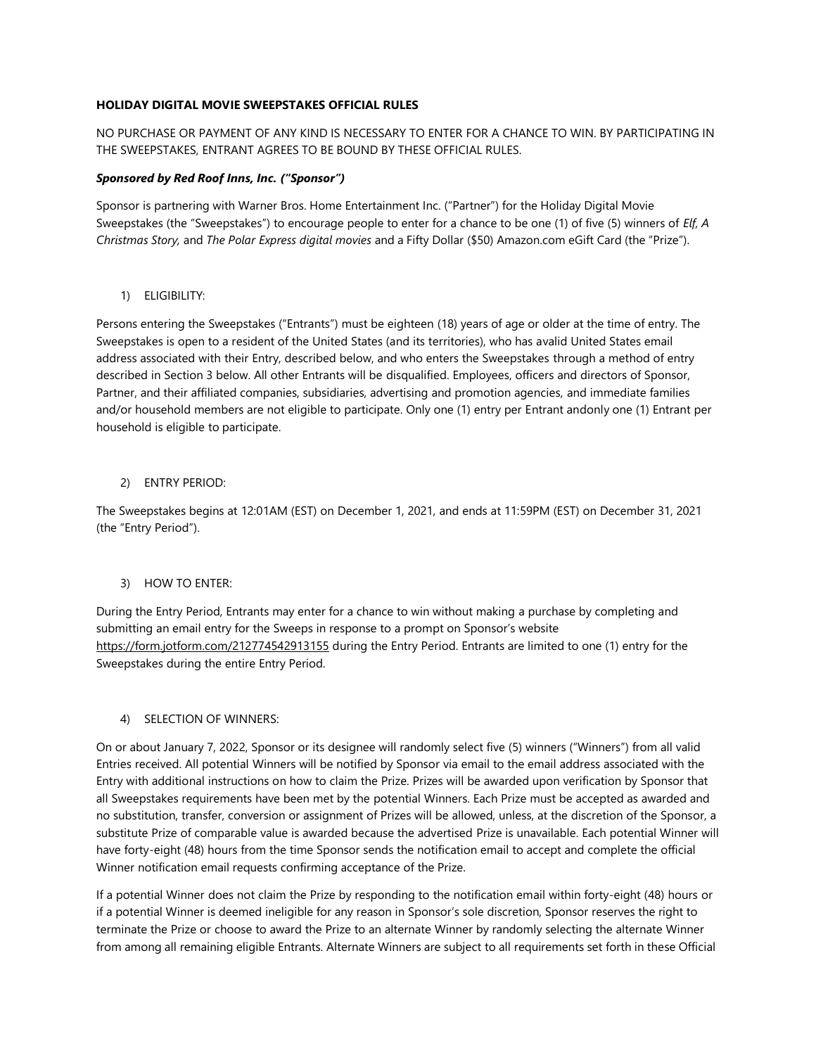# **HOLIDAY DIGITAL MOVIE SWEEPSTAKES OFFICIAL RULES**

# NO PURCHASE OR PAYMENT OF ANY KIND IS NECESSARY TO ENTER FOR A CHANCE TO WIN. BY PARTICIPATING IN THE SWEEPSTAKES, ENTRANT AGREES TO BE BOUND BY THESE OFFICIAL RULES.

#### *Sponsored by Red Roof Inns, Inc. ("Sponsor")*

Sponsor is partnering with Warner Bros. Home Entertainment Inc. ("Partner") for the Holiday Digital Movie Sweepstakes (the "Sweepstakes") to encourage people to enter for a chance to be one (1) of five (5) winners of *Elf, A Christmas Story,* and *The Polar Express digital movies* and a Fifty Dollar (\$50) Amazon.com eGift Card (the "Prize").

1) ELIGIBILITY:

Persons entering the Sweepstakes ("Entrants") must be eighteen (18) years of age or older at the time of entry. The Sweepstakes is open to a resident of the United States (and its territories), who has avalid United States email address associated with their Entry, described below, and who enters the Sweepstakes through a method of entry described in Section 3 below. All other Entrants will be disqualified. Employees, officers and directors of Sponsor, Partner, and their affiliated companies, subsidiaries, advertising and promotion agencies, and immediate families and/or household members are not eligible to participate. Only one (1) entry per Entrant andonly one (1) Entrant per household is eligible to participate.

### 2) ENTRY PERIOD:

The Sweepstakes begins at 12:01AM (EST) on December 1, 2021, and ends at 11:59PM (EST) on December 31, 2021 (the "Entry Period").

#### 3) HOW TO ENTER:

During the Entry Period, Entrants may enter for a chance to win without making a purchase by completing and submitting an email entry for the Sweeps in response to a prompt on Sponsor's website https://form.jotform.com/212774542913155 during the Entry Period. Entrants are limited to one (1) entry for the Sweepstakes during the entire Entry Period.

#### 4) SELECTION OF WINNERS:

On or about January 7, 2022, Sponsor or its designee will randomly select five (5) winners ("Winners") from all valid Entries received. All potential Winners will be notified by Sponsor via email to the email address associated with the Entry with additional instructions on how to claim the Prize. Prizes will be awarded upon verification by Sponsor that all Sweepstakes requirements have been met by the potential Winners. Each Prize must be accepted as awarded and no substitution, transfer, conversion or assignment of Prizes will be allowed, unless, at the discretion of the Sponsor, a substitute Prize of comparable value is awarded because the advertised Prize is unavailable. Each potential Winner will have forty-eight (48) hours from the time Sponsor sends the notification email to accept and complete the official Winner notification email requests confirming acceptance of the Prize.

If a potential Winner does not claim the Prize by responding to the notification email within forty-eight (48) hours or if a potential Winner is deemed ineligible for any reason in Sponsor's sole discretion, Sponsor reserves the right to terminate the Prize or choose to award the Prize to an alternate Winner by randomly selecting the alternate Winner from among all remaining eligible Entrants. Alternate Winners are subject to all requirements set forth in these Official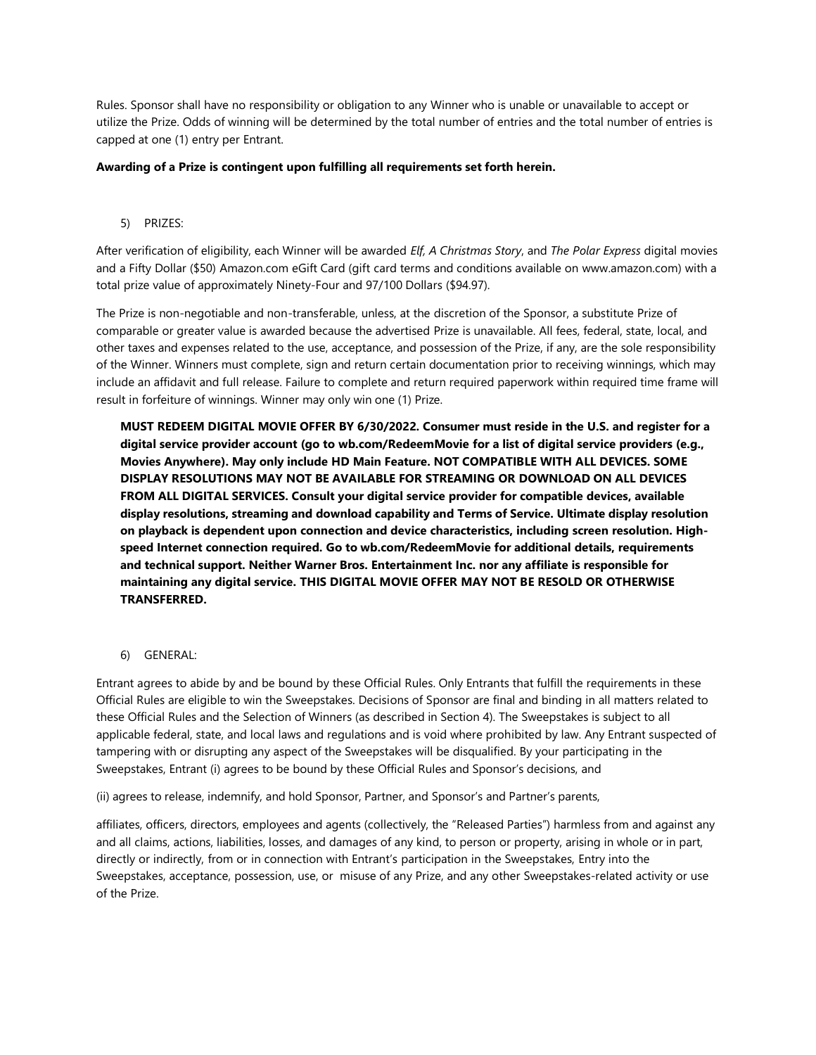Rules. Sponsor shall have no responsibility or obligation to any Winner who is unable or unavailable to accept or utilize the Prize. Odds of winning will be determined by the total number of entries and the total number of entries is capped at one (1) entry per Entrant.

#### **Awarding of a Prize is contingent upon fulfilling all requirements set forth herein.**

5) PRIZES:

After verification of eligibility, each Winner will be awarded *Elf, A Christmas Story*, and *The Polar Express* digital movies and a Fifty Dollar (\$50) Amazon.com eGift Card (gift card terms and conditions available on www.amazon.com) with a total prize value of approximately Ninety-Four and 97/100 Dollars (\$94.97).

The Prize is non-negotiable and non-transferable, unless, at the discretion of the Sponsor, a substitute Prize of comparable or greater value is awarded because the advertised Prize is unavailable. All fees, federal, state, local, and other taxes and expenses related to the use, acceptance, and possession of the Prize, if any, are the sole responsibility of the Winner. Winners must complete, sign and return certain documentation prior to receiving winnings, which may include an affidavit and full release. Failure to complete and return required paperwork within required time frame will result in forfeiture of winnings. Winner may only win one (1) Prize.

**MUST REDEEM DIGITAL MOVIE OFFER BY 6/30/2022. Consumer must reside in the U.S. and register for a digital service provider account (go to wb.com/RedeemMovie for a list of digital service providers (e.g., Movies Anywhere). May only include HD Main Feature. NOT COMPATIBLE WITH ALL DEVICES. SOME DISPLAY RESOLUTIONS MAY NOT BE AVAILABLE FOR STREAMING OR DOWNLOAD ON ALL DEVICES FROM ALL DIGITAL SERVICES. Consult your digital service provider for compatible devices, available display resolutions, streaming and download capability and Terms of Service. Ultimate display resolution on playback is dependent upon connection and device characteristics, including screen resolution. Highspeed Internet connection required. Go to wb.com/RedeemMovie for additional details, requirements and technical support. Neither Warner Bros. Entertainment Inc. nor any affiliate is responsible for maintaining any digital service. THIS DIGITAL MOVIE OFFER MAY NOT BE RESOLD OR OTHERWISE TRANSFERRED.**

6) GENERAL:

Entrant agrees to abide by and be bound by these Official Rules. Only Entrants that fulfill the requirements in these Official Rules are eligible to win the Sweepstakes. Decisions of Sponsor are final and binding in all matters related to these Official Rules and the Selection of Winners (as described in Section 4). The Sweepstakes is subject to all applicable federal, state, and local laws and regulations and is void where prohibited by law. Any Entrant suspected of tampering with or disrupting any aspect of the Sweepstakes will be disqualified. By your participating in the Sweepstakes, Entrant (i) agrees to be bound by these Official Rules and Sponsor's decisions, and

(ii) agrees to release, indemnify, and hold Sponsor, Partner, and Sponsor's and Partner's parents,

affiliates, officers, directors, employees and agents (collectively, the "Released Parties") harmless from and against any and all claims, actions, liabilities, losses, and damages of any kind, to person or property, arising in whole or in part, directly or indirectly, from or in connection with Entrant's participation in the Sweepstakes, Entry into the Sweepstakes, acceptance, possession, use, or misuse of any Prize, and any other Sweepstakes-related activity or use of the Prize.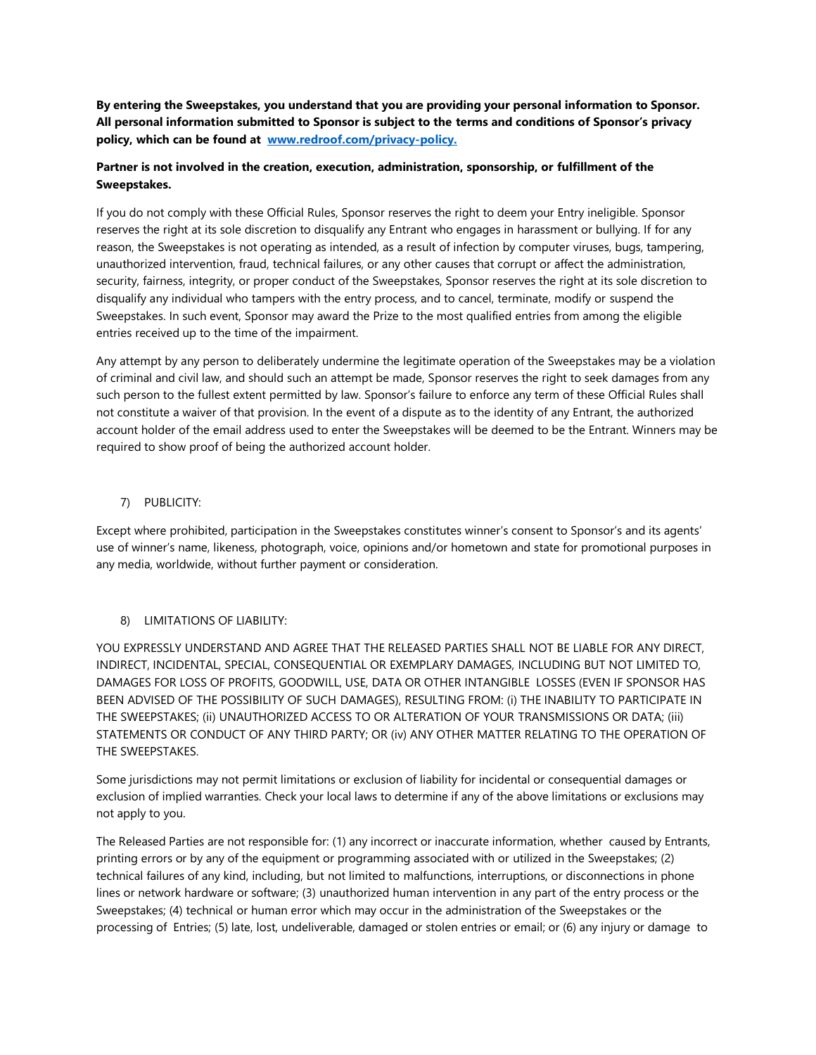**By entering the Sweepstakes, you understand that you are providing your personal information to Sponsor. All personal information submitted to Sponsor is subject to the terms and conditions of Sponsor's privacy policy, which can be found at [www.redroof.com/privacy-policy.](http://www.redroof.com/privacy-policy)**

# **Partner is not involved in the creation, execution, administration, sponsorship, or fulfillment of the Sweepstakes.**

If you do not comply with these Official Rules, Sponsor reserves the right to deem your Entry ineligible. Sponsor reserves the right at its sole discretion to disqualify any Entrant who engages in harassment or bullying. If for any reason, the Sweepstakes is not operating as intended, as a result of infection by computer viruses, bugs, tampering, unauthorized intervention, fraud, technical failures, or any other causes that corrupt or affect the administration, security, fairness, integrity, or proper conduct of the Sweepstakes, Sponsor reserves the right at its sole discretion to disqualify any individual who tampers with the entry process, and to cancel, terminate, modify or suspend the Sweepstakes. In such event, Sponsor may award the Prize to the most qualified entries from among the eligible entries received up to the time of the impairment.

Any attempt by any person to deliberately undermine the legitimate operation of the Sweepstakes may be a violation of criminal and civil law, and should such an attempt be made, Sponsor reserves the right to seek damages from any such person to the fullest extent permitted by law. Sponsor's failure to enforce any term of these Official Rules shall not constitute a waiver of that provision. In the event of a dispute as to the identity of any Entrant, the authorized account holder of the email address used to enter the Sweepstakes will be deemed to be the Entrant. Winners may be required to show proof of being the authorized account holder.

# 7) PUBLICITY:

Except where prohibited, participation in the Sweepstakes constitutes winner's consent to Sponsor's and its agents' use of winner's name, likeness, photograph, voice, opinions and/or hometown and state for promotional purposes in any media, worldwide, without further payment or consideration.

# 8) LIMITATIONS OF LIABILITY:

YOU EXPRESSLY UNDERSTAND AND AGREE THAT THE RELEASED PARTIES SHALL NOT BE LIABLE FOR ANY DIRECT, INDIRECT, INCIDENTAL, SPECIAL, CONSEQUENTIAL OR EXEMPLARY DAMAGES, INCLUDING BUT NOT LIMITED TO, DAMAGES FOR LOSS OF PROFITS, GOODWILL, USE, DATA OR OTHER INTANGIBLE LOSSES (EVEN IF SPONSOR HAS BEEN ADVISED OF THE POSSIBILITY OF SUCH DAMAGES), RESULTING FROM: (i) THE INABILITY TO PARTICIPATE IN THE SWEEPSTAKES; (ii) UNAUTHORIZED ACCESS TO OR ALTERATION OF YOUR TRANSMISSIONS OR DATA; (iii) STATEMENTS OR CONDUCT OF ANY THIRD PARTY; OR (iv) ANY OTHER MATTER RELATING TO THE OPERATION OF THE SWEEPSTAKES.

Some jurisdictions may not permit limitations or exclusion of liability for incidental or consequential damages or exclusion of implied warranties. Check your local laws to determine if any of the above limitations or exclusions may not apply to you.

The Released Parties are not responsible for: (1) any incorrect or inaccurate information, whether caused by Entrants, printing errors or by any of the equipment or programming associated with or utilized in the Sweepstakes; (2) technical failures of any kind, including, but not limited to malfunctions, interruptions, or disconnections in phone lines or network hardware or software; (3) unauthorized human intervention in any part of the entry process or the Sweepstakes; (4) technical or human error which may occur in the administration of the Sweepstakes or the processing of Entries; (5) late, lost, undeliverable, damaged or stolen entries or email; or (6) any injury or damage to